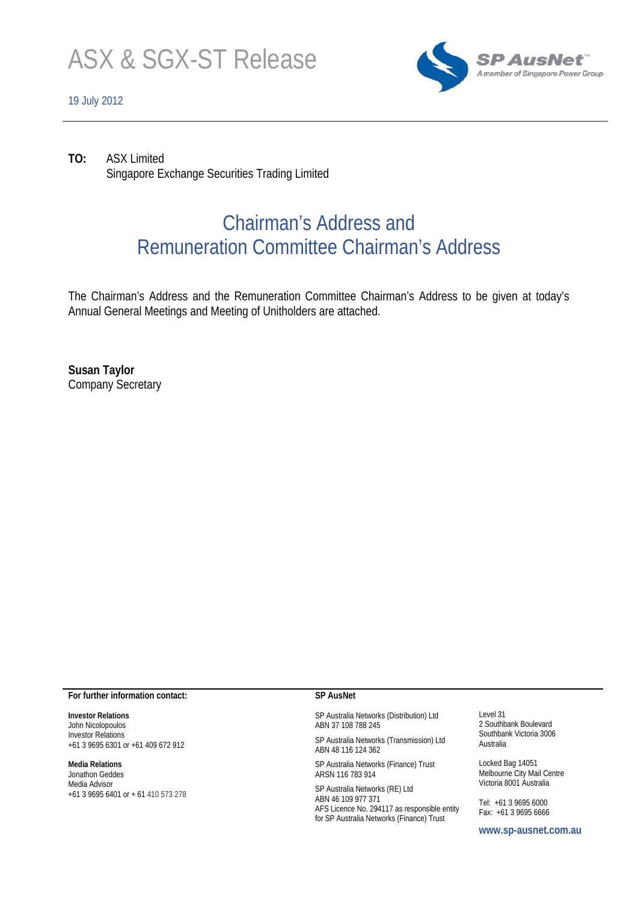

#### 19 July 2012



**TO:** ASX Limited Singapore Exchange Securities Trading Limited

# Chairman's Address and Remuneration Committee Chairman's Address

The Chairman's Address and the Remuneration Committee Chairman's Address to be given at today's Annual General Meetings and Meeting of Unitholders are attached.

**Susan Taylor**  Company Secretary

#### **For further information contact:**

**Investor Relations**  John Nicolopoulos Investor Relations +61 3 9695 6301 or +61 409 672 912

#### **Media Relations**

Jonathon Geddes Media Advisor +61 3 9695 6401 or + 61 410 573 278

#### **SP AusNet**

SP Australia Networks (Distribution) Ltd ABN 37 108 788 245

SP Australia Networks (Transmission) Ltd ABN 48 116 124 362

SP Australia Networks (Finance) Trust ARSN 116 783 914

SP Australia Networks (RE) Ltd ABN 46 109 977 371 AFS Licence No. 294117 as responsible entity for SP Australia Networks (Finance) Trust

Level 31 2 Southbank Boulevard Southbank Victoria 3006 Australia

Locked Bag 14051 Melbourne City Mail Centre Victoria 8001 Australia

Tel: +61 3 9695 6000 Fax: +61 3 9695 6666

**www.sp-ausnet.com.au**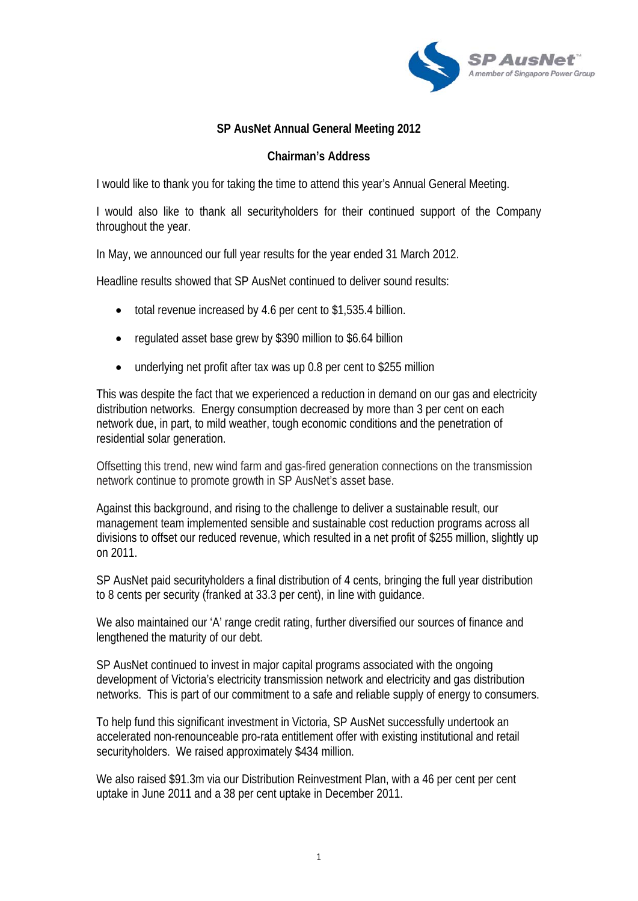

# **SP AusNet Annual General Meeting 2012**

# **Chairman's Address**

I would like to thank you for taking the time to attend this year's Annual General Meeting.

I would also like to thank all securityholders for their continued support of the Company throughout the year.

In May, we announced our full year results for the year ended 31 March 2012.

Headline results showed that SP AusNet continued to deliver sound results:

- total revenue increased by 4.6 per cent to \$1,535.4 billion.
- regulated asset base grew by \$390 million to \$6.64 billion
- underlying net profit after tax was up 0.8 per cent to \$255 million

This was despite the fact that we experienced a reduction in demand on our gas and electricity distribution networks. Energy consumption decreased by more than 3 per cent on each network due, in part, to mild weather, tough economic conditions and the penetration of residential solar generation.

Offsetting this trend, new wind farm and gas-fired generation connections on the transmission network continue to promote growth in SP AusNet's asset base.

Against this background, and rising to the challenge to deliver a sustainable result, our management team implemented sensible and sustainable cost reduction programs across all divisions to offset our reduced revenue, which resulted in a net profit of \$255 million, slightly up on 2011.

SP AusNet paid securityholders a final distribution of 4 cents, bringing the full year distribution to 8 cents per security (franked at 33.3 per cent), in line with guidance.

We also maintained our 'A' range credit rating, further diversified our sources of finance and lengthened the maturity of our debt.

SP AusNet continued to invest in major capital programs associated with the ongoing development of Victoria's electricity transmission network and electricity and gas distribution networks. This is part of our commitment to a safe and reliable supply of energy to consumers.

To help fund this significant investment in Victoria, SP AusNet successfully undertook an accelerated non-renounceable pro-rata entitlement offer with existing institutional and retail securityholders. We raised approximately \$434 million.

We also raised \$91.3m via our Distribution Reinvestment Plan, with a 46 per cent per cent uptake in June 2011 and a 38 per cent uptake in December 2011.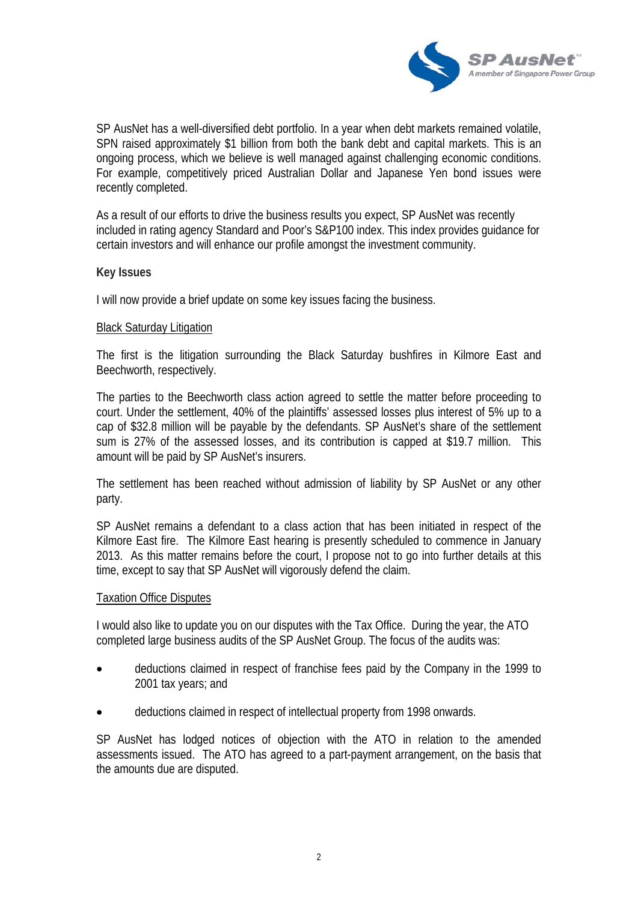

SP AusNet has a well-diversified debt portfolio. In a year when debt markets remained volatile, SPN raised approximately \$1 billion from both the bank debt and capital markets. This is an ongoing process, which we believe is well managed against challenging economic conditions. For example, competitively priced Australian Dollar and Japanese Yen bond issues were recently completed.

As a result of our efforts to drive the business results you expect, SP AusNet was recently included in rating agency Standard and Poor's S&P100 index. This index provides guidance for certain investors and will enhance our profile amongst the investment community.

## **Key Issues**

I will now provide a brief update on some key issues facing the business.

### Black Saturday Litigation

The first is the litigation surrounding the Black Saturday bushfires in Kilmore East and Beechworth, respectively.

The parties to the Beechworth class action agreed to settle the matter before proceeding to court. Under the settlement, 40% of the plaintiffs' assessed losses plus interest of 5% up to a cap of \$32.8 million will be payable by the defendants. SP AusNet's share of the settlement sum is 27% of the assessed losses, and its contribution is capped at \$19.7 million. This amount will be paid by SP AusNet's insurers.

The settlement has been reached without admission of liability by SP AusNet or any other party.

SP AusNet remains a defendant to a class action that has been initiated in respect of the Kilmore East fire. The Kilmore East hearing is presently scheduled to commence in January 2013. As this matter remains before the court, I propose not to go into further details at this time, except to say that SP AusNet will vigorously defend the claim.

#### Taxation Office Disputes

I would also like to update you on our disputes with the Tax Office. During the year, the ATO completed large business audits of the SP AusNet Group. The focus of the audits was:

- deductions claimed in respect of franchise fees paid by the Company in the 1999 to 2001 tax years; and
- deductions claimed in respect of intellectual property from 1998 onwards.

SP AusNet has lodged notices of objection with the ATO in relation to the amended assessments issued. The ATO has agreed to a part-payment arrangement, on the basis that the amounts due are disputed.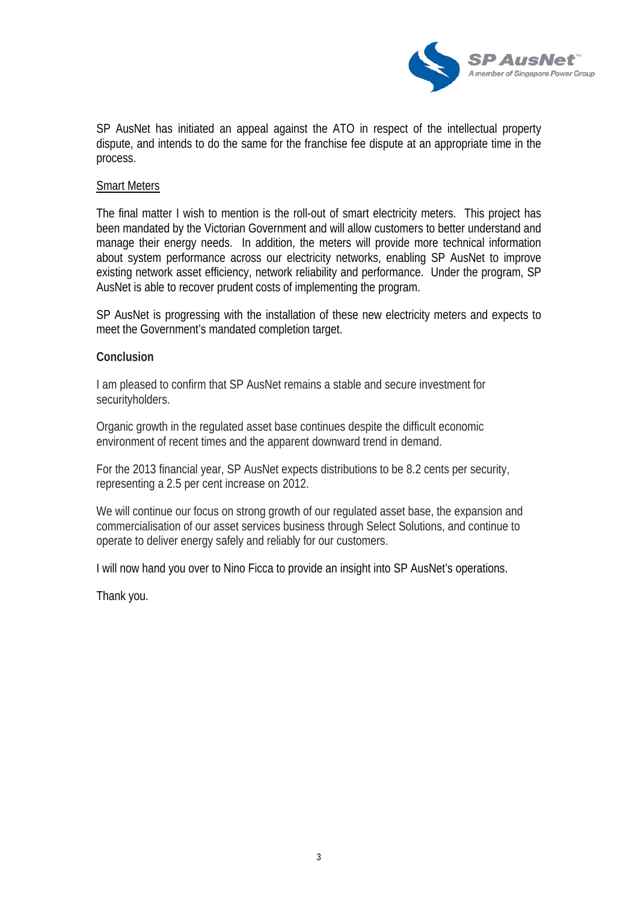

SP AusNet has initiated an appeal against the ATO in respect of the intellectual property dispute, and intends to do the same for the franchise fee dispute at an appropriate time in the process.

## Smart Meters

The final matter I wish to mention is the roll-out of smart electricity meters. This project has been mandated by the Victorian Government and will allow customers to better understand and manage their energy needs. In addition, the meters will provide more technical information about system performance across our electricity networks, enabling SP AusNet to improve existing network asset efficiency, network reliability and performance. Under the program, SP AusNet is able to recover prudent costs of implementing the program.

SP AusNet is progressing with the installation of these new electricity meters and expects to meet the Government's mandated completion target.

### **Conclusion**

I am pleased to confirm that SP AusNet remains a stable and secure investment for securityholders.

Organic growth in the regulated asset base continues despite the difficult economic environment of recent times and the apparent downward trend in demand.

For the 2013 financial year, SP AusNet expects distributions to be 8.2 cents per security, representing a 2.5 per cent increase on 2012.

We will continue our focus on strong growth of our regulated asset base, the expansion and commercialisation of our asset services business through Select Solutions, and continue to operate to deliver energy safely and reliably for our customers.

I will now hand you over to Nino Ficca to provide an insight into SP AusNet's operations.

Thank you.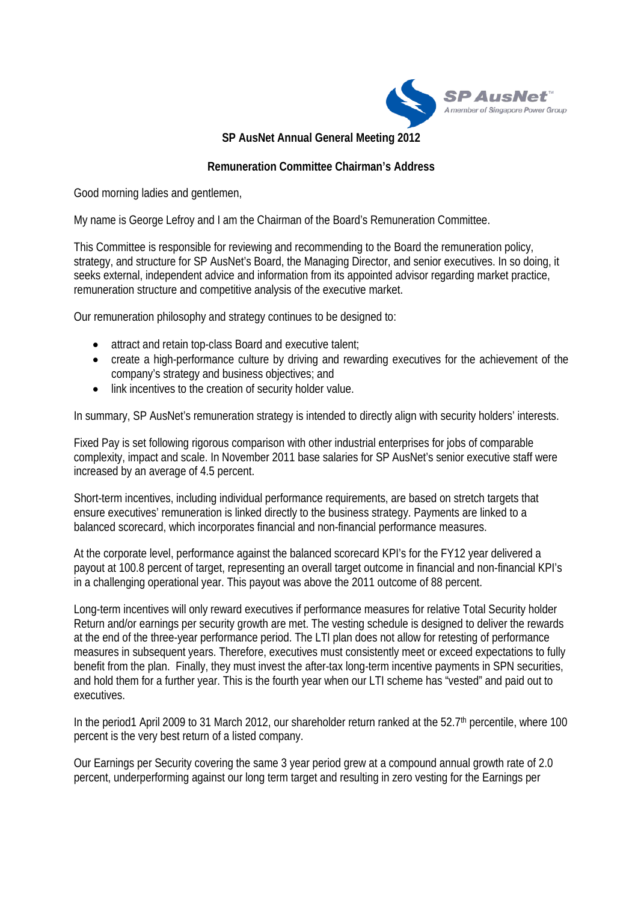

**SP AusNet Annual General Meeting 2012** 

## **Remuneration Committee Chairman's Address**

Good morning ladies and gentlemen,

My name is George Lefroy and I am the Chairman of the Board's Remuneration Committee.

This Committee is responsible for reviewing and recommending to the Board the remuneration policy, strategy, and structure for SP AusNet's Board, the Managing Director, and senior executives. In so doing, it seeks external, independent advice and information from its appointed advisor regarding market practice, remuneration structure and competitive analysis of the executive market.

Our remuneration philosophy and strategy continues to be designed to:

- attract and retain top-class Board and executive talent;
- create a high-performance culture by driving and rewarding executives for the achievement of the company's strategy and business objectives; and
- link incentives to the creation of security holder value.

In summary, SP AusNet's remuneration strategy is intended to directly align with security holders' interests.

Fixed Pay is set following rigorous comparison with other industrial enterprises for jobs of comparable complexity, impact and scale. In November 2011 base salaries for SP AusNet's senior executive staff were increased by an average of 4.5 percent.

Short-term incentives, including individual performance requirements, are based on stretch targets that ensure executives' remuneration is linked directly to the business strategy. Payments are linked to a balanced scorecard, which incorporates financial and non-financial performance measures.

At the corporate level, performance against the balanced scorecard KPI's for the FY12 year delivered a payout at 100.8 percent of target, representing an overall target outcome in financial and non-financial KPI's in a challenging operational year. This payout was above the 2011 outcome of 88 percent.

Long-term incentives will only reward executives if performance measures for relative Total Security holder Return and/or earnings per security growth are met. The vesting schedule is designed to deliver the rewards at the end of the three-year performance period. The LTI plan does not allow for retesting of performance measures in subsequent years. Therefore, executives must consistently meet or exceed expectations to fully benefit from the plan. Finally, they must invest the after-tax long-term incentive payments in SPN securities, and hold them for a further year. This is the fourth year when our LTI scheme has "vested" and paid out to executives.

In the period1 April 2009 to 31 March 2012, our shareholder return ranked at the 52.7<sup>th</sup> percentile, where 100 percent is the very best return of a listed company.

Our Earnings per Security covering the same 3 year period grew at a compound annual growth rate of 2.0 percent, underperforming against our long term target and resulting in zero vesting for the Earnings per